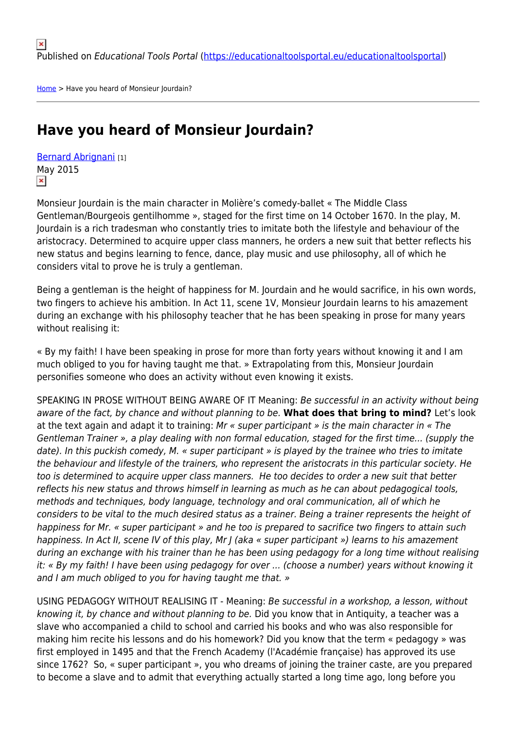[Home](https://educationaltoolsportal.eu/educationaltoolsportal/en) > Have you heard of Monsieur Jourdain?

# **Have you heard of Monsieur Jourdain?**

[Bernard Abrignani](https://educationaltoolsportal.eu/educationaltoolsportal/en/tools-for-learning/bernard-abrignani) [1] May 2015  $\pmb{\times}$ 

Monsieur Jourdain is the main character in Molière's comedy-ballet « The Middle Class Gentleman/Bourgeois gentilhomme », staged for the first time on 14 October 1670. In the play, M. Jourdain is a rich tradesman who constantly tries to imitate both the lifestyle and behaviour of the aristocracy. Determined to acquire upper class manners, he orders a new suit that better reflects his new status and begins learning to fence, dance, play music and use philosophy, all of which he considers vital to prove he is truly a gentleman.

Being a gentleman is the height of happiness for M. Jourdain and he would sacrifice, in his own words, two fingers to achieve his ambition. In Act 11, scene 1V, Monsieur Jourdain learns to his amazement during an exchange with his philosophy teacher that he has been speaking in prose for many years without realising it:

« By my faith! I have been speaking in prose for more than forty years without knowing it and I am much obliged to you for having taught me that. » Extrapolating from this, Monsieur Jourdain personifies someone who does an activity without even knowing it exists.

SPEAKING IN PROSE WITHOUT BEING AWARE OF IT Meaning: Be successful in an activity without being aware of the fact, by chance and without planning to be. **What does that bring to mind?** Let's look at the text again and adapt it to training: Mr « super participant » is the main character in « The Gentleman Trainer », a play dealing with non formal education, staged for the first time... (supply the date). In this puckish comedy, M. « super participant » is played by the trainee who tries to imitate the behaviour and lifestyle of the trainers, who represent the aristocrats in this particular society. He too is determined to acquire upper class manners. He too decides to order a new suit that better reflects his new status and throws himself in learning as much as he can about pedagogical tools, methods and techniques, body language, technology and oral communication, all of which he considers to be vital to the much desired status as a trainer. Being a trainer represents the height of happiness for Mr. « super participant » and he too is prepared to sacrifice two fingers to attain such happiness. In Act II, scene IV of this play, Mr J (aka « super participant ») learns to his amazement during an exchange with his trainer than he has been using pedagogy for a long time without realising it: « By my faith! I have been using pedagogy for over ... (choose a number) years without knowing it and I am much obliged to you for having taught me that. »

USING PEDAGOGY WITHOUT REALISING IT - Meaning: Be successful in a workshop, a lesson, without knowing it, by chance and without planning to be. Did you know that in Antiquity, a teacher was a slave who accompanied a child to school and carried his books and who was also responsible for making him recite his lessons and do his homework? Did you know that the term « pedagogy » was first employed in 1495 and that the French Academy (l'Académie française) has approved its use since 1762? So, « super participant », you who dreams of joining the trainer caste, are you prepared to become a slave and to admit that everything actually started a long time ago, long before you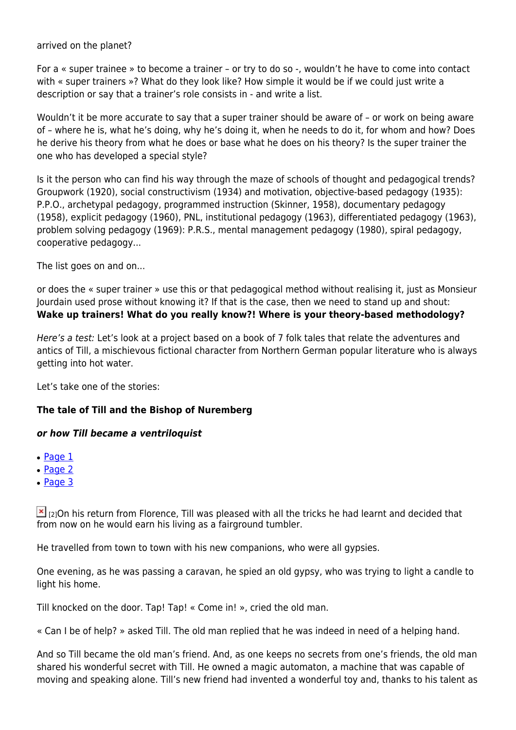arrived on the planet?

For a « super trainee » to become a trainer – or try to do so -, wouldn't he have to come into contact with « super trainers »? What do they look like? How simple it would be if we could just write a description or say that a trainer's role consists in - and write a list.

Wouldn't it be more accurate to say that a super trainer should be aware of – or work on being aware of – where he is, what he's doing, why he's doing it, when he needs to do it, for whom and how? Does he derive his theory from what he does or base what he does on his theory? Is the super trainer the one who has developed a special style?

Is it the person who can find his way through the maze of schools of thought and pedagogical trends? Groupwork (1920), social constructivism (1934) and motivation, objective-based pedagogy (1935): P.P.O., archetypal pedagogy, programmed instruction (Skinner, 1958), documentary pedagogy (1958), explicit pedagogy (1960), PNL, institutional pedagogy (1963), differentiated pedagogy (1963), problem solving pedagogy (1969): P.R.S., mental management pedagogy (1980), spiral pedagogy, cooperative pedagogy...

The list goes on and on...

or does the « super trainer » use this or that pedagogical method without realising it, just as Monsieur Jourdain used prose without knowing it? If that is the case, then we need to stand up and shout: **Wake up trainers! What do you really know?! Where is your theory-based methodology?**

Here's a test: Let's look at a project based on a book of 7 folk tales that relate the adventures and antics of Till, a mischievous fictional character from Northern German popular literature who is always getting into hot water.

Let's take one of the stories:

## **The tale of Till and the Bishop of Nuremberg**

## *or how Till became a ventriloquist*

- $\cdot$  [Page 1](#page--1-0)
- [Page 2](#page--1-0)
- [Page 3](#page--1-0)

 $\mathbb{E}$  [2]On his return from Florence, Till was pleased with all the tricks he had learnt and decided that from now on he would earn his living as a fairground tumbler.

He travelled from town to town with his new companions, who were all gypsies.

One evening, as he was passing a caravan, he spied an old gypsy, who was trying to light a candle to light his home.

Till knocked on the door. Tap! Tap! « Come in! », cried the old man.

« Can I be of help? » asked Till. The old man replied that he was indeed in need of a helping hand.

And so Till became the old man's friend. And, as one keeps no secrets from one's friends, the old man shared his wonderful secret with Till. He owned a magic automaton, a machine that was capable of moving and speaking alone. Till's new friend had invented a wonderful toy and, thanks to his talent as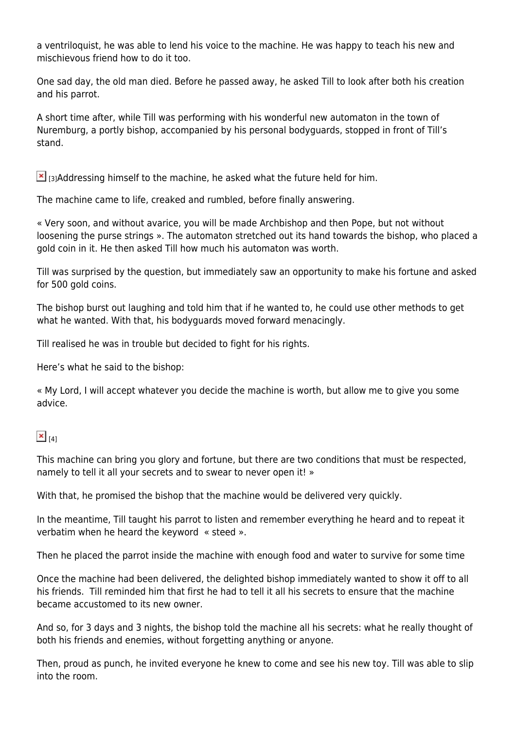a ventriloquist, he was able to lend his voice to the machine. He was happy to teach his new and mischievous friend how to do it too.

One sad day, the old man died. Before he passed away, he asked Till to look after both his creation and his parrot.

A short time after, while Till was performing with his wonderful new automaton in the town of Nuremburg, a portly bishop, accompanied by his personal bodyguards, stopped in front of Till's stand.

 $\Sigma$  r31Addressing himself to the machine, he asked what the future held for him.

The machine came to life, creaked and rumbled, before finally answering.

« Very soon, and without avarice, you will be made Archbishop and then Pope, but not without loosening the purse strings ». The automaton stretched out its hand towards the bishop, who placed a gold coin in it. He then asked Till how much his automaton was worth.

Till was surprised by the question, but immediately saw an opportunity to make his fortune and asked for 500 gold coins.

The bishop burst out laughing and told him that if he wanted to, he could use other methods to get what he wanted. With that, his bodyguards moved forward menacingly.

Till realised he was in trouble but decided to fight for his rights.

Here's what he said to the bishop:

« My Lord, I will accept whatever you decide the machine is worth, but allow me to give you some advice.

# $\mathbf{x}|_{\mathbf{141}}$

This machine can bring you glory and fortune, but there are two conditions that must be respected, namely to tell it all your secrets and to swear to never open it! »

With that, he promised the bishop that the machine would be delivered very quickly.

In the meantime, Till taught his parrot to listen and remember everything he heard and to repeat it verbatim when he heard the keyword « steed ».

Then he placed the parrot inside the machine with enough food and water to survive for some time

Once the machine had been delivered, the delighted bishop immediately wanted to show it off to all his friends. Till reminded him that first he had to tell it all his secrets to ensure that the machine became accustomed to its new owner.

And so, for 3 days and 3 nights, the bishop told the machine all his secrets: what he really thought of both his friends and enemies, without forgetting anything or anyone.

Then, proud as punch, he invited everyone he knew to come and see his new toy. Till was able to slip into the room.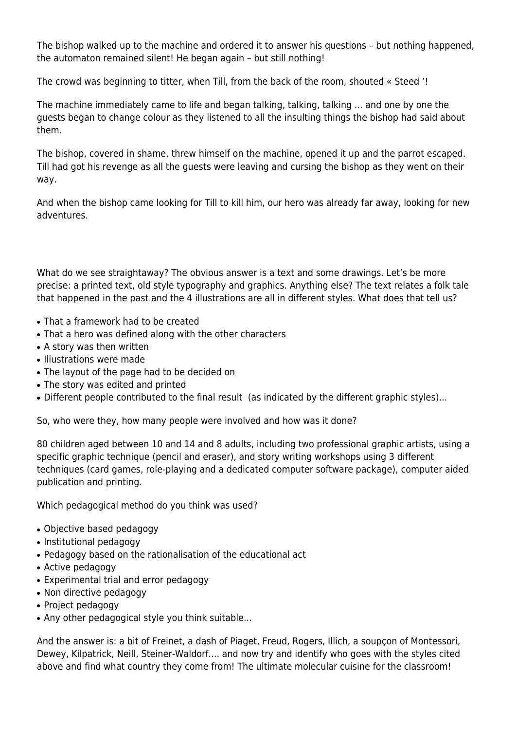The bishop walked up to the machine and ordered it to answer his questions – but nothing happened, the automaton remained silent! He began again – but still nothing!

The crowd was beginning to titter, when Till, from the back of the room, shouted « Steed '!

The machine immediately came to life and began talking, talking, talking ... and one by one the guests began to change colour as they listened to all the insulting things the bishop had said about them.

The bishop, covered in shame, threw himself on the machine, opened it up and the parrot escaped. Till had got his revenge as all the guests were leaving and cursing the bishop as they went on their way.

And when the bishop came looking for Till to kill him, our hero was already far away, looking for new adventures.

What do we see straightaway? The obvious answer is a text and some drawings. Let's be more precise: a printed text, old style typography and graphics. Anything else? The text relates a folk tale that happened in the past and the 4 illustrations are all in different styles. What does that tell us?

- That a framework had to be created
- That a hero was defined along with the other characters
- A story was then written
- Illustrations were made
- The layout of the page had to be decided on
- The story was edited and printed
- Different people contributed to the final result (as indicated by the different graphic styles)...

So, who were they, how many people were involved and how was it done?

80 children aged between 10 and 14 and 8 adults, including two professional graphic artists, using a specific graphic technique (pencil and eraser), and story writing workshops using 3 different techniques (card games, role-playing and a dedicated computer software package), computer aided publication and printing.

Which pedagogical method do you think was used?

- Objective based pedagogy
- Institutional pedagogy
- Pedagogy based on the rationalisation of the educational act
- Active pedagogy
- Experimental trial and error pedagogy
- Non directive pedagogy
- Project pedagogy
- Any other pedagogical style you think suitable...

And the answer is: a bit of Freinet, a dash of Piaget, Freud, Rogers, Illich, a soupçon of Montessori, Dewey, Kilpatrick, Neill, Steiner-Waldorf.... and now try and identify who goes with the styles cited above and find what country they come from! The ultimate molecular cuisine for the classroom!